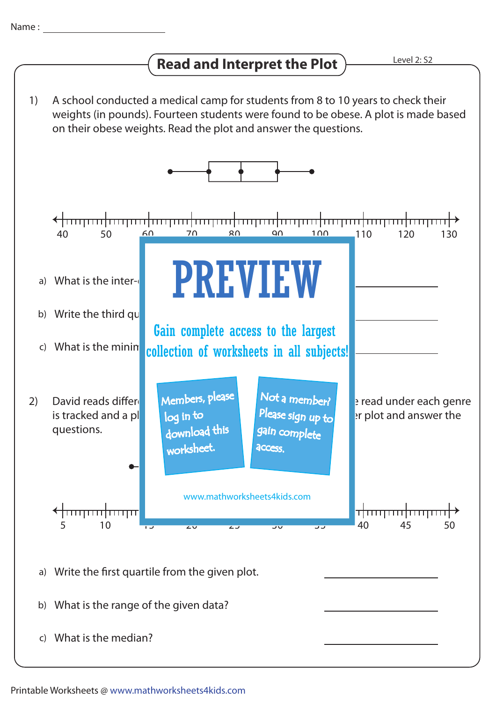